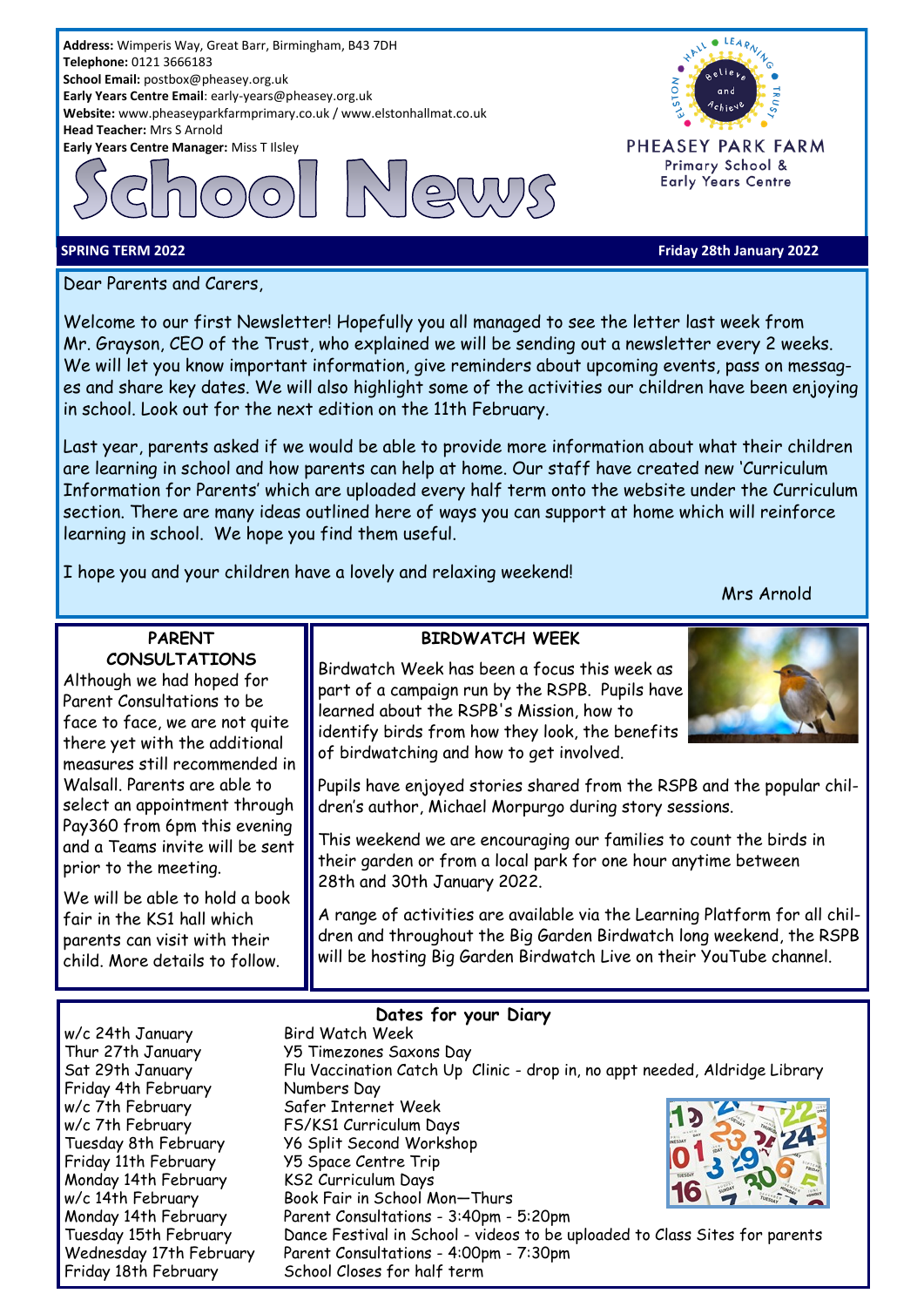**Telephone:** 0121 3666183 **School Email:** postbox@pheasey.org.uk **Early Years Centre Email**: early-years@pheasey.org.uk **Website:** www.pheaseyparkfarmprimary.co.uk / www.elstonhallmat.co.uk **Head Teacher:** Mrs S Arnold **Early Years Centre Manager:** Miss T Ilsley

**Address:** Wimperis Way, Great Barr, Birmingham, B43 7DH





PHEASEY PARK FARM Primary School & **Early Years Centre** 

#### **SPRING TERM 2022 Friday 28th January 2022**

Dear Parents and Carers,

**PARENT CONSULTATIONS** Although we had hoped for Parent Consultations to be face to face, we are not quite there yet with the additional measures still recommended in Walsall. Parents are able to select an appointment through Pay360 from 6pm this evening and a Teams invite will be sent

Welcome to our first Newsletter! Hopefully you all managed to see the letter last week from Mr. Grayson, CEO of the Trust, who explained we will be sending out a newsletter every 2 weeks. We will let you know important information, give reminders about upcoming events, pass on messages and share key dates. We will also highlight some of the activities our children have been enjoying in school. Look out for the next edition on the 11th February.

Last year, parents asked if we would be able to provide more information about what their children are learning in school and how parents can help at home. Our staff have created new 'Curriculum Information for Parents' which are uploaded every half term onto the website under the Curriculum section. There are many ideas outlined here of ways you can support at home which will reinforce learning in school. We hope you find them useful.

I hope you and your children have a lovely and relaxing weekend!

Mrs Arnold

# **BIRDWATCH WEEK**

Birdwatch Week has been a focus this week as part of a campaign run by the RSPB. Pupils have learned about the RSPB's Mission, how to identify birds from how they look, the benefits of birdwatching and how to get involved.

Pupils have enjoyed stories shared from the RSPB and the popular children's author, Michael Morpurgo during story sessions.

This weekend we are encouraging our families to count the birds in their garden or from a local park for one hour anytime between 28th and 30th January 2022.

A range of activities are available via the Learning Platform for all children and throughout the Big Garden Birdwatch long weekend, the RSPB will be hosting Big Garden Birdwatch Live on their YouTube channel.

w/c 24th January Bird Watch Week Friday 4th February Mumbers Day w/c 7th February Safer Internet Week w/c 7th February FS/KS1 Curriculum Days Friday 11th February Y5 Space Centre Trip Monday 14th February KS2 Curriculum Days

prior to the meeting.

We will be able to hold a book fair in the KS1 hall which parents can visit with their child. More details to follow.

### **Dates for your Diary**

Thur 27th January Y5 Timezones Saxons Day Sat 29th January Flu Vaccination Catch Up Clinic - drop in, no appt needed, Aldridge Library Tuesday 8th February Y6 Split Second Workshop w/c 14th February Book Fair in School Mon-Thurs Monday 14th February Parent Consultations - 3:40pm - 5:20pm Tuesday 15th February Dance Festival in School - videos to be uploaded to Class Sites for parents Wednesday 17th February Parent Consultations - 4:00pm - 7:30pm Friday 18th February School Closes for half term